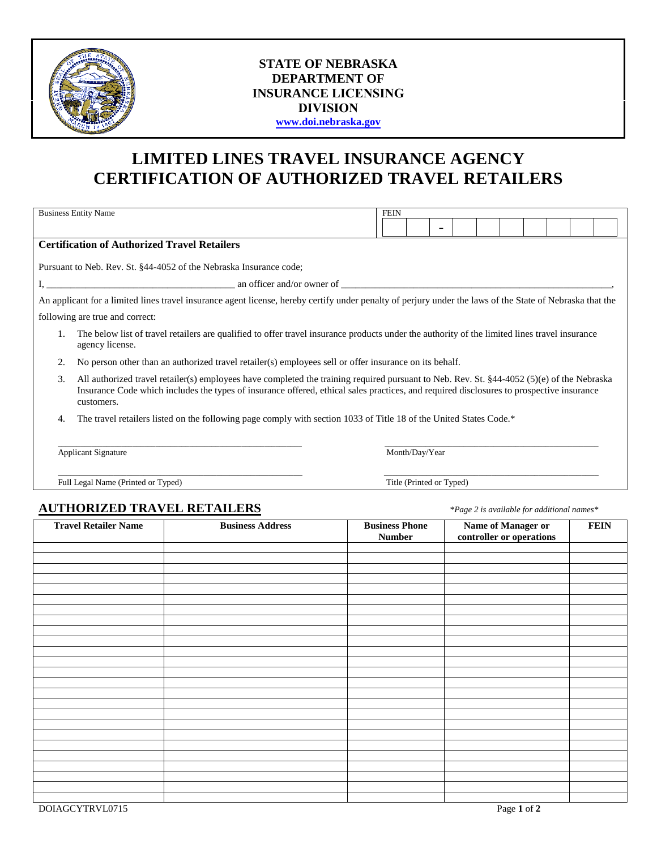

## **STATE OF NEBRASKA DEPARTMENT OF INSURANCE LICENSING DIVISION [www.doi.nebraska.gov](http://www.doi.nebraska.gov/)**

## **LIMITED LINES TRAVEL INSURANCE AGENCY CERTIFICATION OF AUTHORIZED TRAVEL RETAILERS**

| <b>Business Entity Name</b> |                                                                                                                                                                                                                                                                                                      |                                                                                                                                                           |  | <b>FEIN</b>           |                          |  |                                                |                                            |  |  |             |
|-----------------------------|------------------------------------------------------------------------------------------------------------------------------------------------------------------------------------------------------------------------------------------------------------------------------------------------------|-----------------------------------------------------------------------------------------------------------------------------------------------------------|--|-----------------------|--------------------------|--|------------------------------------------------|--------------------------------------------|--|--|-------------|
|                             |                                                                                                                                                                                                                                                                                                      |                                                                                                                                                           |  |                       |                          |  |                                                |                                            |  |  |             |
|                             | <b>Certification of Authorized Travel Retailers</b>                                                                                                                                                                                                                                                  |                                                                                                                                                           |  |                       |                          |  |                                                |                                            |  |  |             |
|                             |                                                                                                                                                                                                                                                                                                      | Pursuant to Neb. Rev. St. §44-4052 of the Nebraska Insurance code;                                                                                        |  |                       |                          |  |                                                |                                            |  |  |             |
|                             |                                                                                                                                                                                                                                                                                                      |                                                                                                                                                           |  |                       |                          |  |                                                |                                            |  |  |             |
|                             |                                                                                                                                                                                                                                                                                                      | An applicant for a limited lines travel insurance agent license, hereby certify under penalty of perjury under the laws of the State of Nebraska that the |  |                       |                          |  |                                                |                                            |  |  |             |
|                             |                                                                                                                                                                                                                                                                                                      |                                                                                                                                                           |  |                       |                          |  |                                                |                                            |  |  |             |
| 1.                          | following are true and correct:<br>The below list of travel retailers are qualified to offer travel insurance products under the authority of the limited lines travel insurance                                                                                                                     |                                                                                                                                                           |  |                       |                          |  |                                                |                                            |  |  |             |
|                             | agency license.                                                                                                                                                                                                                                                                                      |                                                                                                                                                           |  |                       |                          |  |                                                |                                            |  |  |             |
| 2.                          | No person other than an authorized travel retailer(s) employees sell or offer insurance on its behalf.                                                                                                                                                                                               |                                                                                                                                                           |  |                       |                          |  |                                                |                                            |  |  |             |
| 3.                          | All authorized travel retailer(s) employees have completed the training required pursuant to Neb. Rev. St. §44-4052 (5)(e) of the Nebraska<br>Insurance Code which includes the types of insurance offered, ethical sales practices, and required disclosures to prospective insurance<br>customers. |                                                                                                                                                           |  |                       |                          |  |                                                |                                            |  |  |             |
| 4.                          |                                                                                                                                                                                                                                                                                                      | The travel retailers listed on the following page comply with section 1033 of Title 18 of the United States Code.*                                        |  |                       |                          |  |                                                |                                            |  |  |             |
|                             | <b>Applicant Signature</b>                                                                                                                                                                                                                                                                           |                                                                                                                                                           |  |                       | Month/Day/Year           |  |                                                |                                            |  |  |             |
|                             | Full Legal Name (Printed or Typed)                                                                                                                                                                                                                                                                   |                                                                                                                                                           |  |                       | Title (Printed or Typed) |  |                                                |                                            |  |  |             |
|                             |                                                                                                                                                                                                                                                                                                      |                                                                                                                                                           |  |                       |                          |  |                                                |                                            |  |  |             |
|                             |                                                                                                                                                                                                                                                                                                      | <b>AUTHORIZED TRAVEL RETAILERS</b>                                                                                                                        |  |                       |                          |  |                                                | *Page 2 is available for additional names* |  |  |             |
|                             | <b>Travel Retailer Name</b>                                                                                                                                                                                                                                                                          | <b>Business Address</b>                                                                                                                                   |  | <b>Business Phone</b> |                          |  | Name of Manager or<br>controller or operations |                                            |  |  | <b>FEIN</b> |
|                             |                                                                                                                                                                                                                                                                                                      |                                                                                                                                                           |  | <b>Number</b>         |                          |  |                                                |                                            |  |  |             |
|                             |                                                                                                                                                                                                                                                                                                      |                                                                                                                                                           |  |                       |                          |  |                                                |                                            |  |  |             |
|                             |                                                                                                                                                                                                                                                                                                      |                                                                                                                                                           |  |                       |                          |  |                                                |                                            |  |  |             |
|                             |                                                                                                                                                                                                                                                                                                      |                                                                                                                                                           |  |                       |                          |  |                                                |                                            |  |  |             |
|                             |                                                                                                                                                                                                                                                                                                      |                                                                                                                                                           |  |                       |                          |  |                                                |                                            |  |  |             |
|                             |                                                                                                                                                                                                                                                                                                      |                                                                                                                                                           |  |                       |                          |  |                                                |                                            |  |  |             |
|                             |                                                                                                                                                                                                                                                                                                      |                                                                                                                                                           |  |                       |                          |  |                                                |                                            |  |  |             |
|                             |                                                                                                                                                                                                                                                                                                      |                                                                                                                                                           |  |                       |                          |  |                                                |                                            |  |  |             |
|                             |                                                                                                                                                                                                                                                                                                      |                                                                                                                                                           |  |                       |                          |  |                                                |                                            |  |  |             |
|                             |                                                                                                                                                                                                                                                                                                      |                                                                                                                                                           |  |                       |                          |  |                                                |                                            |  |  |             |
|                             |                                                                                                                                                                                                                                                                                                      |                                                                                                                                                           |  |                       |                          |  |                                                |                                            |  |  |             |
|                             |                                                                                                                                                                                                                                                                                                      |                                                                                                                                                           |  |                       |                          |  |                                                |                                            |  |  |             |
|                             |                                                                                                                                                                                                                                                                                                      |                                                                                                                                                           |  |                       |                          |  |                                                |                                            |  |  |             |
|                             |                                                                                                                                                                                                                                                                                                      |                                                                                                                                                           |  |                       |                          |  |                                                |                                            |  |  |             |
|                             |                                                                                                                                                                                                                                                                                                      |                                                                                                                                                           |  |                       |                          |  |                                                |                                            |  |  |             |
|                             |                                                                                                                                                                                                                                                                                                      |                                                                                                                                                           |  |                       |                          |  |                                                |                                            |  |  |             |
|                             |                                                                                                                                                                                                                                                                                                      |                                                                                                                                                           |  |                       |                          |  |                                                |                                            |  |  |             |
|                             |                                                                                                                                                                                                                                                                                                      |                                                                                                                                                           |  |                       |                          |  |                                                |                                            |  |  |             |